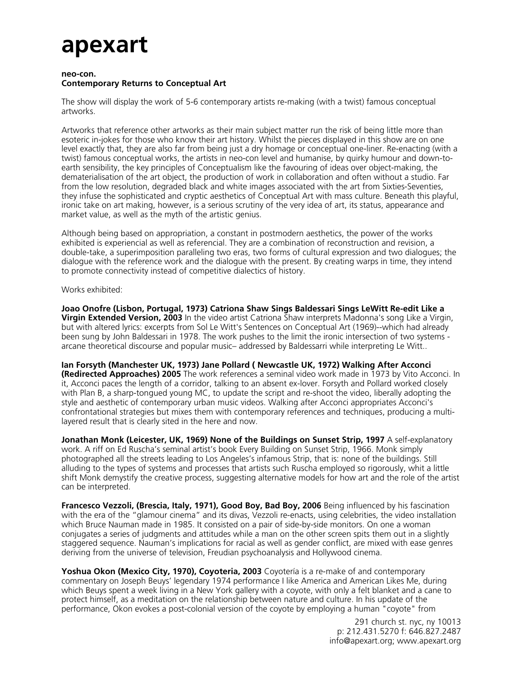## **apexart**

## **neo-con. Contemporary Returns to Conceptual Art**

The show will display the work of 5-6 contemporary artists re-making (with a twist) famous conceptual artworks.

Artworks that reference other artworks as their main subject matter run the risk of being little more than esoteric in-jokes for those who know their art history. Whilst the pieces displayed in this show are on one level exactly that, they are also far from being just a dry homage or conceptual one-liner. Re-enacting (with a twist) famous conceptual works, the artists in neo-con level and humanise, by quirky humour and down-toearth sensibility, the key principles of Conceptualism like the favouring of ideas over object-making, the dematerialisation of the art object, the production of work in collaboration and often without a studio. Far from the low resolution, degraded black and white images associated with the art from Sixties-Seventies, they infuse the sophisticated and cryptic aesthetics of Conceptual Art with mass culture. Beneath this playful, ironic take on art making, however, is a serious scrutiny of the very idea of art, its status, appearance and market value, as well as the myth of the artistic genius.

Although being based on appropriation, a constant in postmodern aesthetics, the power of the works exhibited is experiencial as well as referencial. They are a combination of reconstruction and revision, a double-take, a superimposition paralleling two eras, two forms of cultural expression and two dialogues; the dialogue with the reference work and the dialogue with the present. By creating warps in time, they intend to promote connectivity instead of competitive dialectics of history.

Works exhibited:

**Joao Onofre (Lisbon, Portugal, 1973) Catriona Shaw Sings Baldessari Sings LeWitt Re-edit Like a Virgin Extended Version, 2003** In the video artist Catriona Shaw interprets Madonna's song Like a Virgin, but with altered lyrics: excerpts from Sol Le Witt's Sentences on Conceptual Art (1969)--which had already been sung by John Baldessari in 1978. The work pushes to the limit the ironic intersection of two systems arcane theoretical discourse and popular music– addressed by Baldessarri while interpreting Le Witt..

**Ian Forsyth (Manchester UK, 1973) Jane Pollard ( Newcastle UK, 1972) Walking After Acconci (Redirected Approaches) 2005** The work references a seminal video work made in 1973 by Vito Acconci. In it, Acconci paces the length of a corridor, talking to an absent ex-lover. Forsyth and Pollard worked closely with Plan B, a sharp-tongued young MC, to update the script and re-shoot the video, liberally adopting the style and aesthetic of contemporary urban music videos. Walking after Acconci appropriates Acconci's confrontational strategies but mixes them with contemporary references and techniques, producing a multilayered result that is clearly sited in the here and now.

**Jonathan Monk (Leicester, UK, 1969) None of the Buildings on Sunset Strip, 1997** A self-explanatory work. A riff on Ed Ruscha's seminal artist's book Every Building on Sunset Strip, 1966. Monk simply photographed all the streets leading to Los Angeles's infamous Strip, that is: none of the buildings. Still alluding to the types of systems and processes that artists such Ruscha employed so rigorously, whit a little shift Monk demystify the creative process, suggesting alternative models for how art and the role of the artist can be interpreted.

**Francesco Vezzoli, (Brescia, Italy, 1971), Good Boy, Bad Boy, 2006** Being influenced by his fascination with the era of the "glamour cinema" and its divas, Vezzoli re-enacts, using celebrities, the video installation which Bruce Nauman made in 1985. It consisted on a pair of side-by-side monitors. On one a woman conjugates a series of judgments and attitudes while a man on the other screen spits them out in a slightly staggered sequence. Nauman's implications for racial as well as gender conflict, are mixed with ease genres deriving from the universe of television, Freudian psychoanalysis and Hollywood cinema.

**Yoshua Okon (Mexico City, 1970), Coyoteria, 2003** Coyotería is a re-make of and contemporary commentary on Joseph Beuys' legendary 1974 performance I like America and American Likes Me, during which Beuys spent a week living in a New York gallery with a coyote, with only a felt blanket and a cane to protect himself, as a meditation on the relationship between nature and culture. In his update of the performance, Okon evokes a post-colonial version of the coyote by employing a human "coyote" from

> 291 church st. nyc, ny 10013 p: 212.431.5270 f: 646.827.2487 info@apexart.org; www.apexart.org